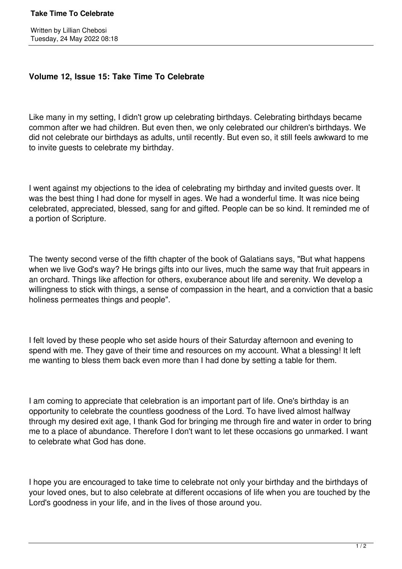## **Take Time To Celebrate**

## **Volume 12, Issue 15: Take Time To Celebrate**

Like many in my setting, I didn't grow up celebrating birthdays. Celebrating birthdays became common after we had children. But even then, we only celebrated our children's birthdays. We did not celebrate our birthdays as adults, until recently. But even so, it still feels awkward to me to invite guests to celebrate my birthday.

I went against my objections to the idea of celebrating my birthday and invited guests over. It was the best thing I had done for myself in ages. We had a wonderful time. It was nice being celebrated, appreciated, blessed, sang for and gifted. People can be so kind. It reminded me of a portion of Scripture.

The twenty second verse of the fifth chapter of the book of Galatians says, "But what happens when we live God's way? He brings gifts into our lives, much the same way that fruit appears in an orchard. Things like affection for others, exuberance about life and serenity. We develop a willingness to stick with things, a sense of compassion in the heart, and a conviction that a basic holiness permeates things and people".

I felt loved by these people who set aside hours of their Saturday afternoon and evening to spend with me. They gave of their time and resources on my account. What a blessing! It left me wanting to bless them back even more than I had done by setting a table for them.

I am coming to appreciate that celebration is an important part of life. One's birthday is an opportunity to celebrate the countless goodness of the Lord. To have lived almost halfway through my desired exit age, I thank God for bringing me through fire and water in order to bring me to a place of abundance. Therefore I don't want to let these occasions go unmarked. I want to celebrate what God has done.

I hope you are encouraged to take time to celebrate not only your birthday and the birthdays of your loved ones, but to also celebrate at different occasions of life when you are touched by the Lord's goodness in your life, and in the lives of those around you.